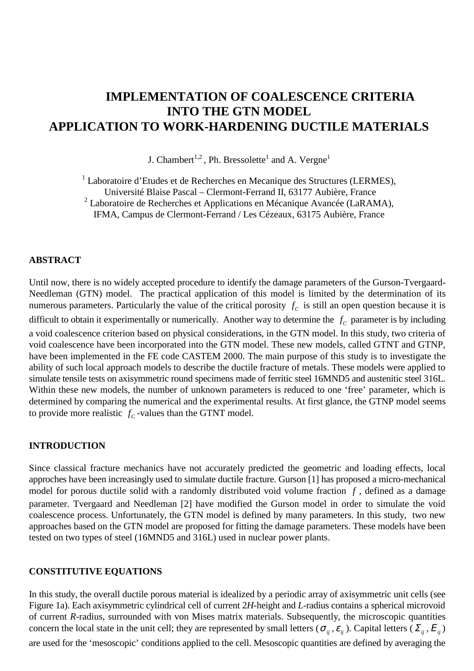# **IMPLEMENTATION OF COALESCENCE CRITERIA INTO THE GTN MODEL APPLICATION TO WORK-HARDENING DUCTILE MATERIALS**

J. Chambert<sup>1,2</sup>, Ph. Bressolette<sup>1</sup> and A. Vergne<sup>1</sup>

<sup>1</sup> Laboratoire d'Etudes et de Recherches en Mecanique des Structures (LERMES), Université Blaise Pascal – Clermont-Ferrand II, 63177 Aubière, France

<sup>2</sup> Laboratoire de Recherches et Applications en Mécanique Avancée (LaRAMA),

IFMA, Campus de Clermont-Ferrand / Les Cézeaux, 63175 Aubière, France

## **ABSTRACT**

Until now, there is no widely accepted procedure to identify the damage parameters of the Gurson-Tvergaard-Needleman (GTN) model. The practical application of this model is limited by the determination of its numerous parameters. Particularly the value of the critical porosity  $f_c$  is still an open question because it is difficult to obtain it experimentally or numerically. Another way to determine the  $f_c$  parameter is by including a void coalescence criterion based on physical considerations, in the GTN model. In this study, two criteria of void coalescence have been incorporated into the GTN model. These new models, called GTNT and GTNP, have been implemented in the FE code CASTEM 2000. The main purpose of this study is to investigate the ability of such local approach models to describe the ductile fracture of metals. These models were applied to simulate tensile tests on axisymmetric round specimens made of ferritic steel 16MND5 and austenitic steel 316L. Within these new models, the number of unknown parameters is reduced to one 'free' parameter, which is determined by comparing the numerical and the experimental results. At first glance, the GTNP model seems to provide more realistic  $f_c$ -values than the GTNT model.

## **INTRODUCTION**

Since classical fracture mechanics have not accurately predicted the geometric and loading effects, local approches have been increasingly used to simulate ductile fracture. Gurson [1] has proposed a micro-mechanical model for porous ductile solid with a randomly distributed void volume fraction *f* , defined as a damage parameter. Tvergaard and Needleman [2] have modified the Gurson model in order to simulate the void coalescence process. Unfortunately, the GTN model is defined by many parameters. In this study, two new approaches based on the GTN model are proposed for fitting the damage parameters. These models have been tested on two types of steel (16MND5 and 316L) used in nuclear power plants.

## **CONSTITUTIVE EQUATIONS**

In this study, the overall ductile porous material is idealized by a periodic array of axisymmetric unit cells (see Figure 1a). Each axisymmetric cylindrical cell of current 2*H*-height and *L*-radius contains a spherical microvoid of current *R*-radius, surrounded with von Mises matrix materials. Subsequently, the microscopic quantities concern the local state in the unit cell; they are represented by small letters ( $\sigma_{ij}$ ,  $\varepsilon_{ij}$ ). Capital letters ( $\Sigma_{ij}$ ,  $E_{ij}$ ) are used for the 'mesoscopic' conditions applied to the cell. Mesoscopic quantities are defined by averaging the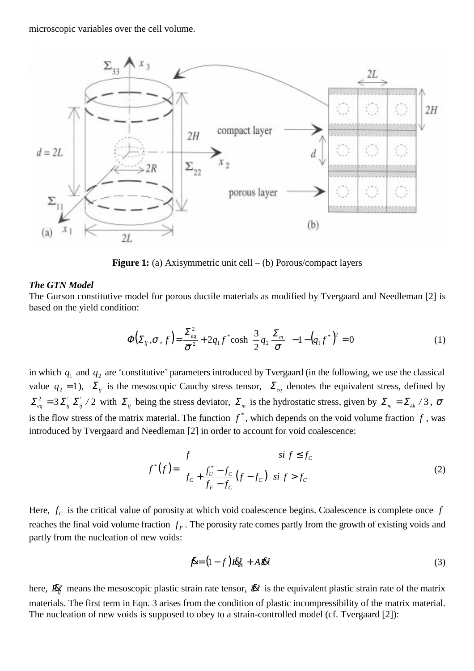microscopic variables over the cell volume.



**Figure 1:** (a) Axisymmetric unit cell – (b) Porous/compact layers

#### *The GTN Model*

The Gurson constitutive model for porous ductile materials as modified by Tvergaard and Needleman [2] is based on the yield condition:

$$
\Phi\left(\Sigma_{ij}, \overline{\sigma}, f\right) = \frac{\Sigma_{eq}^2}{\overline{\sigma}^2} + 2q_1 f^* \cosh\left(\frac{3}{2}q_2 \frac{\Sigma_m}{\overline{\sigma}}\right) - 1 - \left(q_1 f^*\right)^2 = 0 \tag{1}
$$

in which  $q_1$  and  $q_2$  are 'constitutive' parameters introduced by Tvergaard (in the following, we use the classical value  $q_2 = 1$ ),  $\Sigma_{ij}$  is the mesoscopic Cauchy stress tensor,  $\Sigma_{eq}$  denotes the equivalent stress, defined by  $\sum_{eq}^{2} = 3 \sum_{ij}^{'} \sum_{ij}^{'}$  / 2 with  $\sum_{ij}^{'}$  being the stress deviator,  $\sum_{m}^{ }$  is the hydrostatic stress, given by  $\sum_{m}^{ } = \sum_{kk}^{ }$  / 3,  $\bar{\sigma}$ is the flow stress of the matrix material. The function  $f^*$ , which depends on the void volume fraction  $f$ , was introduced by Tvergaard and Needleman [2] in order to account for void coalescence:

$$
f^*(f) = \begin{cases} f & \text{si } f \le f_c \\ f_c + \frac{f^*_U - f_c}{f_F - f_c} (f - f_c) & \text{si } f > f_c \end{cases}
$$
 (2)

Here,  $f_c$  is the critical value of porosity at which void coalescence begins. Coalescence is complete once  $f$ reaches the final void volume fraction  $f_F$ . The porosity rate comes partly from the growth of existing voids and partly from the nucleation of new voids:

$$
\mathbf{\hat{R}} = (1 - f)\mathbf{\hat{R}}_{\mathbf{f}k}^p + A\mathbf{\hat{R}}\mathbf{\hat{R}}^p \tag{3}
$$

here,  $\mathbb{R}^p$  means the mesoscopic plastic strain rate tensor,  $\mathbb{R}^p$  is the equivalent plastic strain rate of the matrix materials. The first term in Eqn. 3 arises from the condition of plastic incompressibility of the matrix material. The nucleation of new voids is supposed to obey to a strain-controlled model (cf. Tvergaard [2]):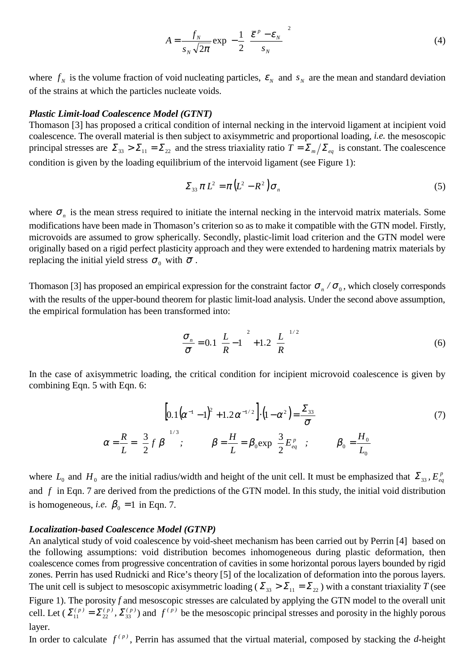$$
A = \frac{f_N}{s_N \sqrt{2\pi}} \exp\left[-\frac{1}{2} \left(\frac{\overline{\varepsilon}^p - \varepsilon_N}{s_N}\right)^2\right]
$$
(4)

where  $f_N$  is the volume fraction of void nucleating particles,  $\mathcal{E}_N$  and  $S_N$  are the mean and standard deviation of the strains at which the particles nucleate voids.

#### *Plastic Limit-load Coalescence Model (GTNT)*

Thomason [3] has proposed a critical condition of internal necking in the intervoid ligament at incipient void coalescence. The overall material is then subject to axisymmetric and proportional loading, *i.e.* the mesoscopic principal stresses are  $\Sigma_{33} > \Sigma_{11} = \Sigma_{22}$  and the stress triaxiality ratio  $T = \Sigma_m / \Sigma_{eq}$  is constant. The coalescence condition is given by the loading equilibrium of the intervoid ligament (see Figure 1):

$$
\Sigma_{33} \pi L^2 = \pi \left( L^2 - R^2 \right) \sigma_n \tag{5}
$$

where  $\sigma_n$  is the mean stress required to initiate the internal necking in the intervoid matrix materials. Some modifications have been made in Thomason's criterion so as to make it compatible with the GTN model. Firstly, microvoids are assumed to grow spherically. Secondly, plastic-limit load criterion and the GTN model were originally based on a rigid perfect plasticity approach and they were extended to hardening matrix materials by replacing the initial yield stress  $\sigma_0$  with  $\bar{\sigma}$ .

Thomason [3] has proposed an empirical expression for the constraint factor  $\sigma_n / \sigma_0$ , which closely corresponds with the results of the upper-bound theorem for plastic limit-load analysis. Under the second above assumption, the empirical formulation has been transformed into:

$$
\frac{\sigma_n}{\overline{\sigma}} = 0.1 \left( \frac{L}{R} - 1 \right)^2 + 1.2 \left( \frac{L}{R} \right)^{1/2} \tag{6}
$$

In the case of axisymmetric loading, the critical condition for incipient microvoid coalescence is given by combining Eqn. 5 with Eqn. 6:

$$
\left[0.1(\alpha^{-1}-1)^2 + 1.2\alpha^{-1/2}\right] \cdot \left(1 - \alpha^2\right) = \frac{\Sigma_{33}}{\overline{\sigma}}
$$
\n
$$
\alpha = \frac{R}{L} = \left(\frac{3}{2}f\beta\right)^{1/3}; \qquad \beta = \frac{H}{L} = \beta_0 \exp\left(\frac{3}{2}E_{eq}^p\right); \qquad \beta_0 = \frac{H_0}{L_0}
$$
\n(7)

where  $L_0$  and  $H_0$  are the initial radius/width and height of the unit cell. It must be emphasized that  $\Sigma_{33}$ ,  $E_{eq}^p$ and *f* in Eqn. 7 are derived from the predictions of the GTN model. In this study, the initial void distribution is homogeneous, *i.e.*  $\beta_0 = 1$  in Eqn. 7.

#### *Localization-based Coalescence Model (GTNP)*

An analytical study of void coalescence by void-sheet mechanism has been carried out by Perrin [4] based on the following assumptions: void distribution becomes inhomogeneous during plastic deformation, then coalescence comes from progressive concentration of cavities in some horizontal porous layers bounded by rigid zones. Perrin has used Rudnicki and Rice's theory [5] of the localization of deformation into the porous layers. The unit cell is subject to mesoscopic axisymmetric loading ( $\Sigma_{33} > \Sigma_{11} = \Sigma_{22}$ ) with a constant triaxiality *T* (see Figure 1). The porosity *f* and mesoscopic stresses are calculated by applying the GTN model to the overall unit cell. Let  $(\Sigma_{11}^{(p)} = \Sigma_{22}^{(p)}, \Sigma_{33}^{(p)})$  and  $f^{(p)}$  be the mesoscopic principal stresses and porosity in the highly porous layer.

In order to calculate  $f^{(p)}$ , Perrin has assumed that the virtual material, composed by stacking the *d*-height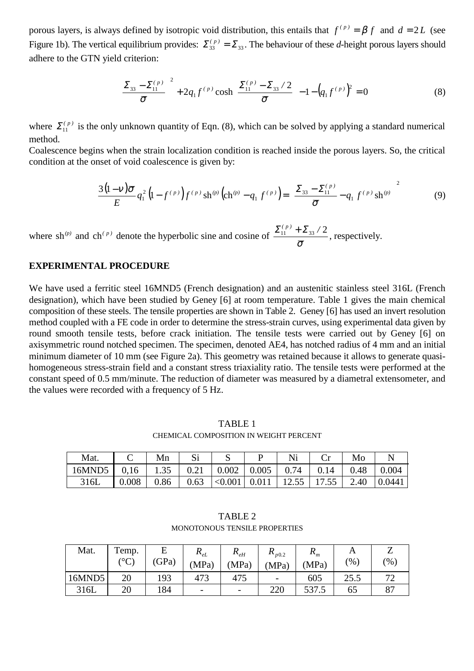porous layers, is always defined by isotropic void distribution, this entails that  $f^{(p)} = \beta f$  and  $d = 2L$  (see Figure 1b). The vertical equilibrium provides:  $\Sigma_{33}^{(p)} = \Sigma_{33}$ . The behaviour of these *d*-height porous layers should adhere to the GTN yield criterion:

$$
\left(\frac{\Sigma_{33} - \Sigma_{11}^{(p)}}{\bar{\sigma}}\right)^2 + 2q_1 f^{(p)} \cosh\left(\frac{\Sigma_{11}^{(p)} - \Sigma_{33} / 2}{\bar{\sigma}}\right) - 1 - \left(q_1 f^{(p)}\right)^2 = 0
$$
\n(8)

where  $\Sigma_{11}^{(p)}$  is the only unknown quantity of Eqn. (8), which can be solved by applying a standard numerical method.

Coalescence begins when the strain localization condition is reached inside the porous layers. So, the critical condition at the onset of void coalescence is given by:

$$
\frac{3(1-\nu)\overline{\sigma}}{E}q_1^2\left(1-f^{(p)}\right)f^{(p)}\,\mathrm{sh}^{(p)}\left(\mathrm{ch}^{(p)}-q_1\,f^{(p)}\right)=\left(\frac{\Sigma_{33}-\Sigma_{11}^{(p)}}{\overline{\sigma}}-q_1\,f^{(p)}\,\mathrm{sh}^{(p)}\right)^2\tag{9}
$$

where sh<sup>(*p*)</sup> and ch<sup>(*p*)</sup> denote the hyperbolic sine and cosine of  $\frac{\sum_{11}^{(p)} + \sum_{33}^{'} / 2}{\overline{\sigma}}$ , respectively.

#### **EXPERIMENTAL PROCEDURE**

We have used a ferritic steel 16MND5 (French designation) and an austenitic stainless steel 316L (French designation), which have been studied by Geney [6] at room temperature. Table 1 gives the main chemical composition of these steels. The tensile properties are shown in Table 2. Geney [6] has used an invert resolution method coupled with a FE code in order to determine the stress-strain curves, using experimental data given by round smooth tensile tests, before crack initiation. The tensile tests were carried out by Geney [6] on axisymmetric round notched specimen. The specimen, denoted AE4, has notched radius of 4 mm and an initial minimum diameter of 10 mm (see Figure 2a). This geometry was retained because it allows to generate quasihomogeneous stress-strain field and a constant stress triaxiality ratio. The tensile tests were performed at the constant speed of 0.5 mm/minute. The reduction of diameter was measured by a diametral extensometer, and the values were recorded with a frequency of 5 Hz.

TABLE 1 CHEMICAL COMPOSITION IN WEIGHT PERCENT

| Mat.          |       | Mn              |      |                           |      |               | Mc   |        |
|---------------|-------|-----------------|------|---------------------------|------|---------------|------|--------|
| $16MND5$ 0.16 |       | $1.35 \pm 0.21$ |      | $\vert 0.002 \vert 0.005$ | 0.74 | 0.14          | 0.48 | 0.004  |
| 316L          | 0.008 | 0.86            | 0.63 | $ \langle 0.001   0.011$  |      | 12.55   17.55 | 2.40 | 0.0441 |

TABLE 2 MONOTONOUS TENSILE PROPERTIES

| Mat.   | Temp.<br>ر می | (GPa) | $\mathbf{H}_{eL}$<br>(MPa) | $K_{eH}$<br>(MPa)        | $\mathbf{R}_{p0.2}$<br>(MPa) | m<br>(MPa) | $\gamma$ <sup>0</sup> | (96)          |
|--------|---------------|-------|----------------------------|--------------------------|------------------------------|------------|-----------------------|---------------|
| 16MND5 | 20            | 193   | 473                        | 475                      | $\overline{\phantom{0}}$     | 605        | 25.5                  | $\mathcal{L}$ |
| 316L   | 20            | 184   | $\overline{\phantom{a}}$   | $\overline{\phantom{0}}$ | 220                          | 537.5      | 65                    | O7            |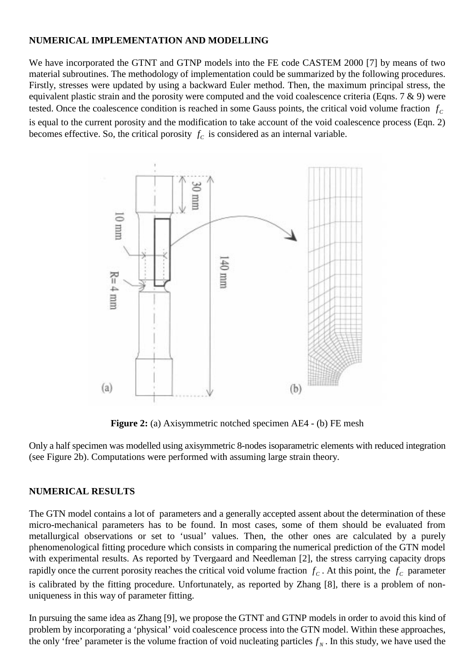# **NUMERICAL IMPLEMENTATION AND MODELLING**

We have incorporated the GTNT and GTNP models into the FE code CASTEM 2000 [7] by means of two material subroutines. The methodology of implementation could be summarized by the following procedures. Firstly, stresses were updated by using a backward Euler method. Then, the maximum principal stress, the equivalent plastic strain and the porosity were computed and the void coalescence criteria (Eqns. 7 & 9) were tested. Once the coalescence condition is reached in some Gauss points, the critical void volume fraction  $f_c$ is equal to the current porosity and the modification to take account of the void coalescence process (Eqn. 2) becomes effective. So, the critical porosity  $f_c$  is considered as an internal variable.



**Figure 2:** (a) Axisymmetric notched specimen AE4 - (b) FE mesh

Only a half specimen was modelled using axisymmetric 8-nodes isoparametric elements with reduced integration (see Figure 2b). Computations were performed with assuming large strain theory.

## **NUMERICAL RESULTS**

The GTN model contains a lot of parameters and a generally accepted assent about the determination of these micro-mechanical parameters has to be found. In most cases, some of them should be evaluated from metallurgical observations or set to 'usual' values. Then, the other ones are calculated by a purely phenomenological fitting procedure which consists in comparing the numerical prediction of the GTN model with experimental results. As reported by Tvergaard and Needleman [2], the stress carrying capacity drops rapidly once the current porosity reaches the critical void volume fraction  $f_c$ . At this point, the  $f_c$  parameter is calibrated by the fitting procedure. Unfortunately, as reported by Zhang [8], there is a problem of nonuniqueness in this way of parameter fitting.

In pursuing the same idea as Zhang [9], we propose the GTNT and GTNP models in order to avoid this kind of problem by incorporating a 'physical' void coalescence process into the GTN model. Within these approaches, the only 'free' parameter is the volume fraction of void nucleating particles  $f<sub>N</sub>$ . In this study, we have used the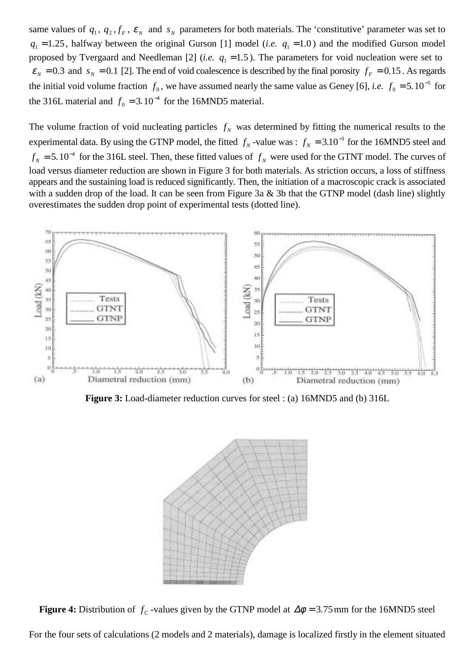same values of  $q_1$ ,  $q_2$ ,  $f_F$ ,  $\epsilon_N$  and  $s_N$  parameters for both materials. The 'constitutive' parameter was set to  $q_1 = 1.25$ , halfway between the original Gurson [1] model (*i.e.*  $q_1 = 1.0$ ) and the modified Gurson model proposed by Tvergaard and Needleman [2] (*i.e.*  $q_1 = 1.5$ ). The parameters for void nucleation were set to  $\varepsilon_N = 0.3$  and  $s_N = 0.1$  [2]. The end of void coalescence is described by the final porosity  $f_F = 0.15$ . As regards the initial void volume fraction  $f_0$ , we have assumed nearly the same value as Geney [6], *i.e.*  $f_0 = 5.10^{-5}$  for the 316L material and  $f_0 = 3.10^{-4}$  for the 16MND5 material.

The volume fraction of void nucleating particles  $f<sub>N</sub>$  was determined by fitting the numerical results to the experimental data. By using the GTNP model, the fitted  $f_N$ -value was :  $f_N = 3.10^{-3}$  for the 16MND5 steel and  $f_N = 5.10^{-4}$  for the 316L steel. Then, these fitted values of  $f_N$  were used for the GTNT model. The curves of load versus diameter reduction are shown in Figure 3 for both materials. As striction occurs, a loss of stiffness appears and the sustaining load is reduced significantly. Then, the initiation of a macroscopic crack is associated with a sudden drop of the load. It can be seen from Figure 3a & 3b that the GTNP model (dash line) slightly overestimates the sudden drop point of experimental tests (dotted line).



**Figure 3:** Load-diameter reduction curves for steel : (a) 16MND5 and (b) 316L



**Figure 4:** Distribution of  $f_c$ -values given by the GTNP model at  $\Delta\phi = 3.75$  mm for the 16MND5 steel

For the four sets of calculations (2 models and 2 materials), damage is localized firstly in the element situated